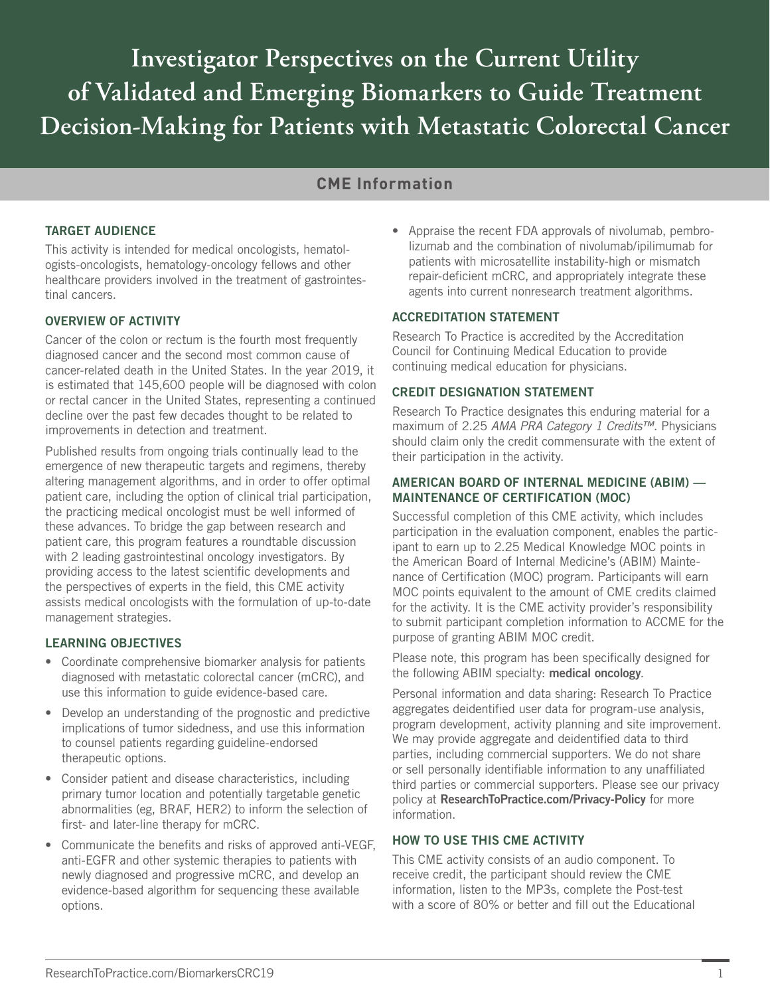**Investigator Perspectives on the Current Utility of Validated and Emerging Biomarkers to Guide Treatment Decision-Making for Patients with Metastatic Colorectal Cancer**

# **CME Information**

## TARGET AUDIENCE

This activity is intended for medical oncologists, hematologists-oncologists, hematology-oncology fellows and other healthcare providers involved in the treatment of gastrointestinal cancers.

### OVERVIEW OF ACTIVITY

Cancer of the colon or rectum is the fourth most frequently diagnosed cancer and the second most common cause of cancer-related death in the United States. In the year 2019, it is estimated that 145,600 people will be diagnosed with colon or rectal cancer in the United States, representing a continued decline over the past few decades thought to be related to improvements in detection and treatment.

Published results from ongoing trials continually lead to the emergence of new therapeutic targets and regimens, thereby altering management algorithms, and in order to offer optimal patient care, including the option of clinical trial participation, the practicing medical oncologist must be well informed of these advances. To bridge the gap between research and patient care, this program features a roundtable discussion with 2 leading gastrointestinal oncology investigators. By providing access to the latest scientific developments and the perspectives of experts in the field, this CME activity assists medical oncologists with the formulation of up-to-date management strategies.

### LEARNING OBJECTIVES

- Coordinate comprehensive biomarker analysis for patients diagnosed with metastatic colorectal cancer (mCRC), and use this information to guide evidence-based care.
- Develop an understanding of the prognostic and predictive implications of tumor sidedness, and use this information to counsel patients regarding guideline-endorsed therapeutic options.
- Consider patient and disease characteristics, including primary tumor location and potentially targetable genetic abnormalities (eg, BRAF, HER2) to inform the selection of first- and later-line therapy for mCRC.
- Communicate the benefits and risks of approved anti-VEGF, anti-EGFR and other systemic therapies to patients with newly diagnosed and progressive mCRC, and develop an evidence-based algorithm for sequencing these available options.

• Appraise the recent FDA approvals of nivolumab, pembrolizumab and the combination of nivolumab/ipilimumab for patients with microsatellite instability-high or mismatch repair-deficient mCRC, and appropriately integrate these agents into current nonresearch treatment algorithms.

### ACCREDITATION STATEMENT

Research To Practice is accredited by the Accreditation Council for Continuing Medical Education to provide continuing medical education for physicians.

#### CREDIT DESIGNATION STATEMENT

Research To Practice designates this enduring material for a maximum of 2.25 *AMA PRA Category 1 Credits™*. Physicians should claim only the credit commensurate with the extent of their participation in the activity.

#### AMERICAN BOARD OF INTERNAL MEDICINE (ABIM) — MAINTENANCE OF CERTIFICATION (MOC)

Successful completion of this CME activity, which includes participation in the evaluation component, enables the participant to earn up to 2.25 Medical Knowledge MOC points in the American Board of Internal Medicine's (ABIM) Maintenance of Certification (MOC) program. Participants will earn MOC points equivalent to the amount of CME credits claimed for the activity. It is the CME activity provider's responsibility to submit participant completion information to ACCME for the purpose of granting ABIM MOC credit.

Please note, this program has been specifically designed for the following ABIM specialty: medical oncology.

Personal information and data sharing: Research To Practice aggregates deidentified user data for program-use analysis, program development, activity planning and site improvement. We may provide aggregate and deidentified data to third parties, including commercial supporters. We do not share or sell personally identifiable information to any unaffiliated third parties or commercial supporters. Please see our privacy policy at ResearchToPractice.com/Privacy-Policy for more information.

### HOW TO USE THIS CME ACTIVITY

This CME activity consists of an audio component. To receive credit, the participant should review the CME information, listen to the MP3s, complete the Post-test with a score of 80% or better and fill out the Educational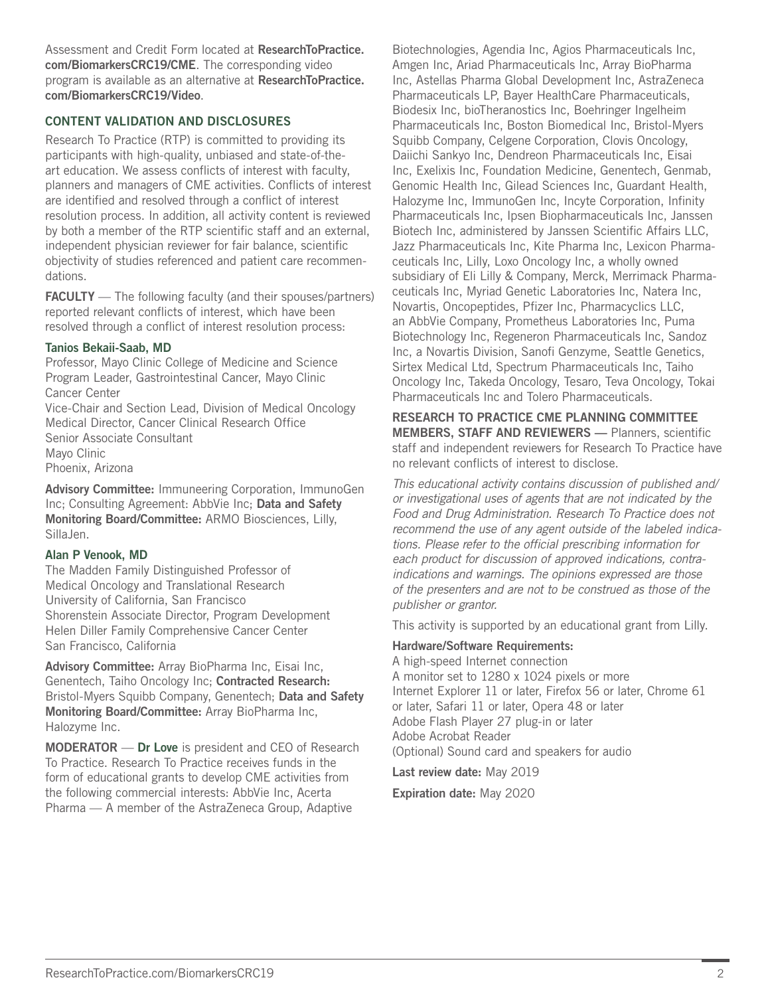Assessment and Credit Form located at ResearchToPractice. com/BiomarkersCRC19/CME. The corresponding video program is available as an alternative at ResearchToPractice. com/BiomarkersCRC19/Video.

## CONTENT VALIDATION AND DISCLOSURES

Research To Practice (RTP) is committed to providing its participants with high-quality, unbiased and state-of-theart education. We assess conflicts of interest with faculty, planners and managers of CME activities. Conflicts of interest are identified and resolved through a conflict of interest resolution process. In addition, all activity content is reviewed by both a member of the RTP scientific staff and an external, independent physician reviewer for fair balance, scientific objectivity of studies referenced and patient care recommendations.

FACULTY - The following faculty (and their spouses/partners) reported relevant conflicts of interest, which have been resolved through a conflict of interest resolution process:

#### Tanios Bekaii-Saab, MD

Professor, Mayo Clinic College of Medicine and Science Program Leader, Gastrointestinal Cancer, Mayo Clinic Cancer Center

Vice-Chair and Section Lead, Division of Medical Oncology Medical Director, Cancer Clinical Research Office Senior Associate Consultant Mayo Clinic Phoenix, Arizona

Advisory Committee: Immuneering Corporation, ImmunoGen Inc; Consulting Agreement: AbbVie Inc; Data and Safety Monitoring Board/Committee: ARMO Biosciences, Lilly, SillaJen.

### Alan P Venook, MD

The Madden Family Distinguished Professor of Medical Oncology and Translational Research University of California, San Francisco Shorenstein Associate Director, Program Development Helen Diller Family Comprehensive Cancer Center San Francisco, California

Advisory Committee: Array BioPharma Inc, Eisai Inc, Genentech, Taiho Oncology Inc; Contracted Research: Bristol-Myers Squibb Company, Genentech; Data and Safety Monitoring Board/Committee: Array BioPharma Inc, Halozyme Inc.

MODERATOR — Dr Love is president and CEO of Research To Practice. Research To Practice receives funds in the form of educational grants to develop CME activities from the following commercial interests: AbbVie Inc, Acerta Pharma — A member of the AstraZeneca Group, Adaptive

Biotechnologies, Agendia Inc, Agios Pharmaceuticals Inc, Amgen Inc, Ariad Pharmaceuticals Inc, Array BioPharma Inc, Astellas Pharma Global Development Inc, AstraZeneca Pharmaceuticals LP, Bayer HealthCare Pharmaceuticals, Biodesix Inc, bioTheranostics Inc, Boehringer Ingelheim Pharmaceuticals Inc, Boston Biomedical Inc, Bristol-Myers Squibb Company, Celgene Corporation, Clovis Oncology, Daiichi Sankyo Inc, Dendreon Pharmaceuticals Inc, Eisai Inc, Exelixis Inc, Foundation Medicine, Genentech, Genmab, Genomic Health Inc, Gilead Sciences Inc, Guardant Health, Halozyme Inc, ImmunoGen Inc, Incyte Corporation, Infinity Pharmaceuticals Inc, Ipsen Biopharmaceuticals Inc, Janssen Biotech Inc, administered by Janssen Scientific Affairs LLC, Jazz Pharmaceuticals Inc, Kite Pharma Inc, Lexicon Pharmaceuticals Inc, Lilly, Loxo Oncology Inc, a wholly owned subsidiary of Eli Lilly & Company, Merck, Merrimack Pharmaceuticals Inc, Myriad Genetic Laboratories Inc, Natera Inc, Novartis, Oncopeptides, Pfizer Inc, Pharmacyclics LLC, an AbbVie Company, Prometheus Laboratories Inc, Puma Biotechnology Inc, Regeneron Pharmaceuticals Inc, Sandoz Inc, a Novartis Division, Sanofi Genzyme, Seattle Genetics, Sirtex Medical Ltd, Spectrum Pharmaceuticals Inc, Taiho Oncology Inc, Takeda Oncology, Tesaro, Teva Oncology, Tokai Pharmaceuticals Inc and Tolero Pharmaceuticals.

RESEARCH TO PRACTICE CME PLANNING COMMITTEE MEMBERS, STAFF AND REVIEWERS — Planners, scientific staff and independent reviewers for Research To Practice have no relevant conflicts of interest to disclose.

*This educational activity contains discussion of published and/ or investigational uses of agents that are not indicated by the Food and Drug Administration. Research To Practice does not recommend the use of any agent outside of the labeled indications. Please refer to the official prescribing information for each product for discussion of approved indications, contraindications and warnings. The opinions expressed are those of the presenters and are not to be construed as those of the publisher or grantor.*

This activity is supported by an educational grant from Lilly.

### Hardware/Software Requirements:

A high-speed Internet connection A monitor set to 1280 x 1024 pixels or more Internet Explorer 11 or later, Firefox 56 or later, Chrome 61 or later, Safari 11 or later, Opera 48 or later Adobe Flash Player 27 plug-in or later Adobe Acrobat Reader (Optional) Sound card and speakers for audio

Last review date: May 2019

Expiration date: May 2020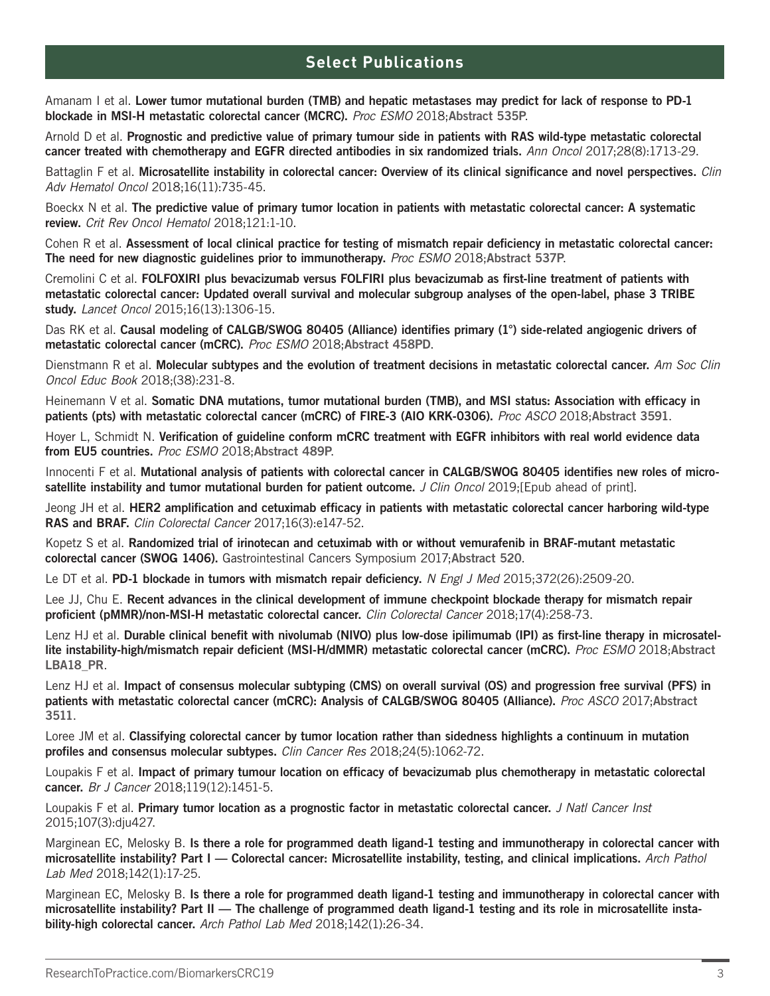# **Select Publications**

Amanam I et al. Lower tumor mutational burden (TMB) and hepatic metastases may predict for lack of response to PD-1 blockade in MSI-H metastatic colorectal cancer (MCRC). *Proc ESMO* 2018;Abstract 535P.

Arnold D et al. Prognostic and predictive value of primary tumour side in patients with RAS wild-type metastatic colorectal cancer treated with chemotherapy and EGFR directed antibodies in six randomized trials. *Ann Oncol* 2017;28(8):1713-29.

Battaglin F et al. Microsatellite instability in colorectal cancer: Overview of its clinical significance and novel perspectives. *Clin Adv Hematol Oncol* 2018;16(11):735-45.

Boeckx N et al. The predictive value of primary tumor location in patients with metastatic colorectal cancer: A systematic review. *Crit Rev Oncol Hematol* 2018;121:1-10.

Cohen R et al. Assessment of local clinical practice for testing of mismatch repair deficiency in metastatic colorectal cancer: The need for new diagnostic guidelines prior to immunotherapy. *Proc ESMO* 2018;Abstract 537P.

Cremolini C et al. FOLFOXIRI plus bevacizumab versus FOLFIRI plus bevacizumab as first-line treatment of patients with metastatic colorectal cancer: Updated overall survival and molecular subgroup analyses of the open-label, phase 3 TRIBE study. *Lancet Oncol* 2015;16(13):1306-15.

Das RK et al. Causal modeling of CALGB/SWOG 80405 (Alliance) identifies primary (1°) side-related angiogenic drivers of metastatic colorectal cancer (mCRC). *Proc ESMO* 2018;Abstract 458PD.

Dienstmann R et al. Molecular subtypes and the evolution of treatment decisions in metastatic colorectal cancer. *Am Soc Clin Oncol Educ Book* 2018;(38):231-8.

Heinemann V et al. Somatic DNA mutations, tumor mutational burden (TMB), and MSI status: Association with efficacy in patients (pts) with metastatic colorectal cancer (mCRC) of FIRE-3 (AIO KRK-0306). *Proc ASCO* 2018;Abstract 3591.

Hoyer L, Schmidt N. Verification of guideline conform mCRC treatment with EGFR inhibitors with real world evidence data from EU5 countries. *Proc ESMO* 2018;Abstract 489P.

Innocenti F et al. Mutational analysis of patients with colorectal cancer in CALGB/SWOG 80405 identifies new roles of microsatellite instability and tumor mutational burden for patient outcome. *J Clin Oncol* 2019;[Epub ahead of print].

Jeong JH et al. HER2 amplification and cetuximab efficacy in patients with metastatic colorectal cancer harboring wild-type RAS and BRAF. *Clin Colorectal Cancer* 2017;16(3):e147-52.

Kopetz S et al. Randomized trial of irinotecan and cetuximab with or without vemurafenib in BRAF-mutant metastatic colorectal cancer (SWOG 1406). Gastrointestinal Cancers Symposium 2017;Abstract 520.

Le DT et al. PD-1 blockade in tumors with mismatch repair deficiency. *N Engl J Med* 2015;372(26):2509-20.

Lee JJ, Chu E. Recent advances in the clinical development of immune checkpoint blockade therapy for mismatch repair proficient (pMMR)/non-MSI-H metastatic colorectal cancer. *Clin Colorectal Cancer* 2018;17(4):258-73.

Lenz HJ et al. Durable clinical benefit with nivolumab (NIVO) plus low-dose ipilimumab (IPI) as first-line therapy in microsatellite instability-high/mismatch repair deficient (MSI-H/dMMR) metastatic colorectal cancer (mCRC). *Proc ESMO* 2018;Abstract LBA18\_PR.

Lenz HJ et al. Impact of consensus molecular subtyping (CMS) on overall survival (OS) and progression free survival (PFS) in patients with metastatic colorectal cancer (mCRC): Analysis of CALGB/SWOG 80405 (Alliance). *Proc ASCO* 2017;Abstract 3511.

Loree JM et al. Classifying colorectal cancer by tumor location rather than sidedness highlights a continuum in mutation profiles and consensus molecular subtypes. *Clin Cancer Res* 2018;24(5):1062-72.

Loupakis F et al. Impact of primary tumour location on efficacy of bevacizumab plus chemotherapy in metastatic colorectal cancer. *Br J Cancer* 2018;119(12):1451-5.

Loupakis F et al. Primary tumor location as a prognostic factor in metastatic colorectal cancer. *J Natl Cancer Inst*  2015;107(3):dju427.

Marginean EC, Melosky B. Is there a role for programmed death ligand-1 testing and immunotherapy in colorectal cancer with microsatellite instability? Part I — Colorectal cancer: Microsatellite instability, testing, and clinical implications. *Arch Pathol Lab Med* 2018;142(1):17-25.

Marginean EC, Melosky B. Is there a role for programmed death ligand-1 testing and immunotherapy in colorectal cancer with microsatellite instability? Part II — The challenge of programmed death ligand-1 testing and its role in microsatellite instability-high colorectal cancer. *Arch Pathol Lab Med* 2018;142(1):26-34.